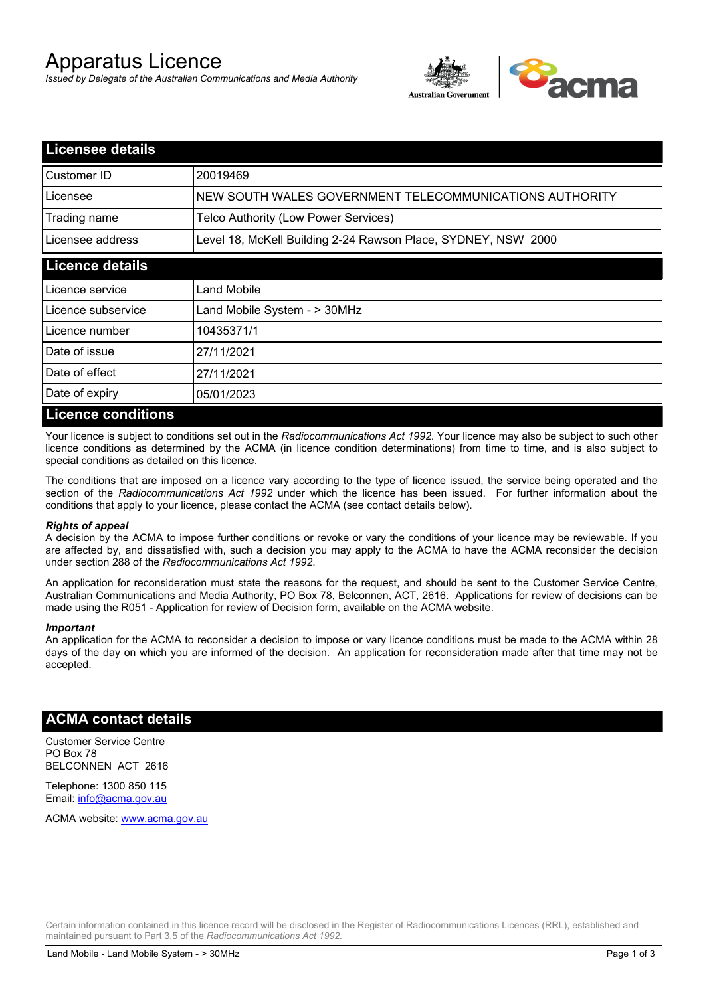# Apparatus Licence

*Issued by Delegate of the Australian Communications and Media Authority*



| <b>Licensee details</b>   |                                                               |  |
|---------------------------|---------------------------------------------------------------|--|
| Customer ID               | 20019469                                                      |  |
| Licensee                  | NEW SOUTH WALES GOVERNMENT TELECOMMUNICATIONS AUTHORITY       |  |
| Trading name              | Telco Authority (Low Power Services)                          |  |
| Licensee address          | Level 18, McKell Building 2-24 Rawson Place, SYDNEY, NSW 2000 |  |
| <b>Licence details</b>    |                                                               |  |
| l Licence service         | Land Mobile                                                   |  |
| Licence subservice        | Land Mobile System - > 30MHz                                  |  |
| Licence number            | 10435371/1                                                    |  |
| Date of issue             | 27/11/2021                                                    |  |
| Date of effect            | 27/11/2021                                                    |  |
| Date of expiry            | 05/01/2023                                                    |  |
| <b>Licence conditions</b> |                                                               |  |

Your licence is subject to conditions set out in the *Radiocommunications Act 1992*. Your licence may also be subject to such other licence conditions as determined by the ACMA (in licence condition determinations) from time to time, and is also subject to special conditions as detailed on this licence.

The conditions that are imposed on a licence vary according to the type of licence issued, the service being operated and the section of the *Radiocommunications Act 1992* under which the licence has been issued. For further information about the conditions that apply to your licence, please contact the ACMA (see contact details below).

#### *Rights of appeal*

A decision by the ACMA to impose further conditions or revoke or vary the conditions of your licence may be reviewable. If you are affected by, and dissatisfied with, such a decision you may apply to the ACMA to have the ACMA reconsider the decision under section 288 of the *Radiocommunications Act 1992*.

An application for reconsideration must state the reasons for the request, and should be sent to the Customer Service Centre, Australian Communications and Media Authority, PO Box 78, Belconnen, ACT, 2616. Applications for review of decisions can be made using the R051 - Application for review of Decision form, available on the ACMA website.

#### *Important*

An application for the ACMA to reconsider a decision to impose or vary licence conditions must be made to the ACMA within 28 days of the day on which you are informed of the decision. An application for reconsideration made after that time may not be accepted.

### **ACMA contact details**

Customer Service Centre PO Box 78 BELCONNEN ACT 2616

Telephone: 1300 850 115 Email: info@acma.gov.au

ACMA website: www.acma.gov.au

Certain information contained in this licence record will be disclosed in the Register of Radiocommunications Licences (RRL), established and maintained pursuant to Part 3.5 of the *Radiocommunications Act 1992.*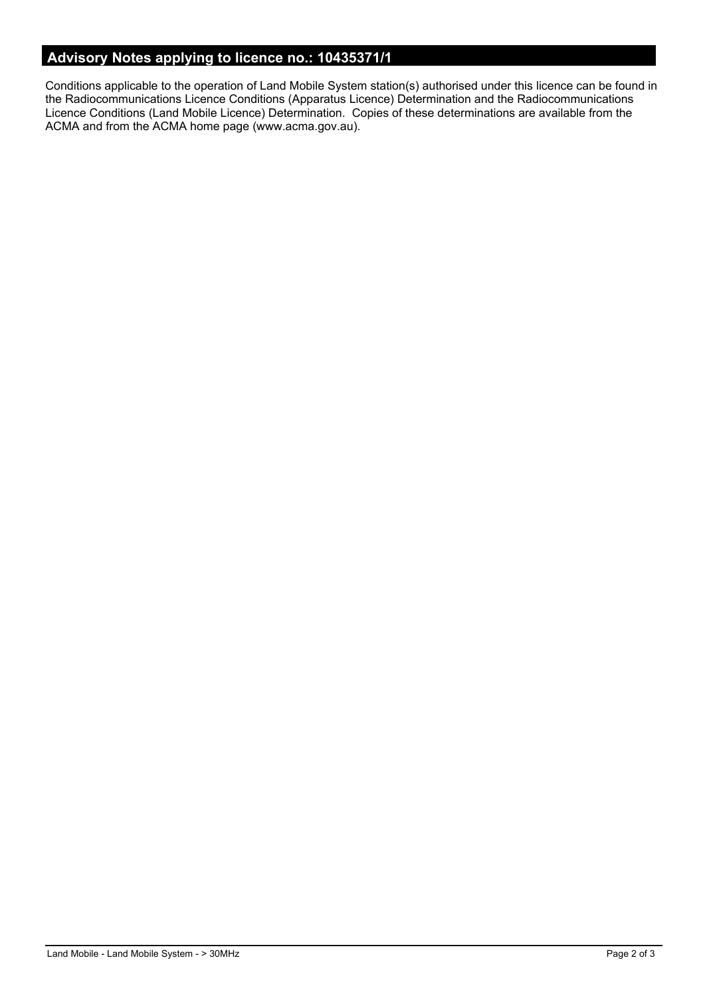# **Advisory Notes applying to licence no.: 10435371/1**

Conditions applicable to the operation of Land Mobile System station(s) authorised under this licence can be found in the Radiocommunications Licence Conditions (Apparatus Licence) Determination and the Radiocommunications Licence Conditions (Land Mobile Licence) Determination. Copies of these determinations are available from the ACMA and from the ACMA home page (www.acma.gov.au).